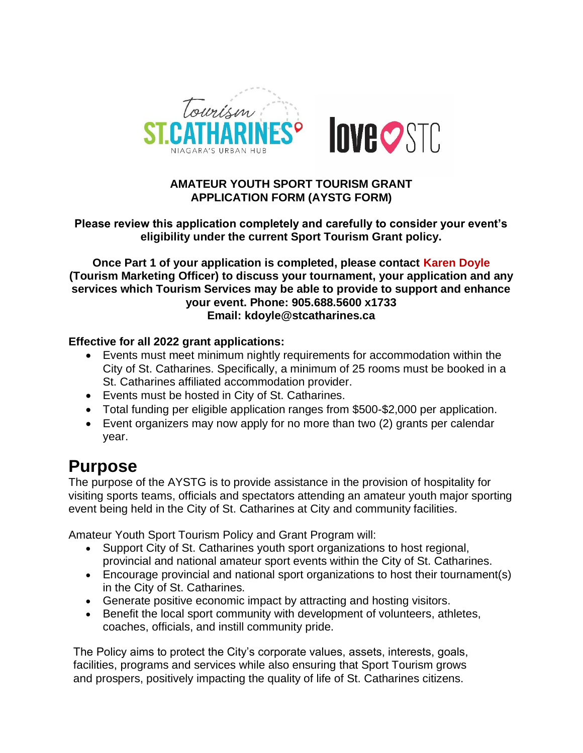

#### **AMATEUR YOUTH SPORT TOURISM GRANT APPLICATION FORM (AYSTG FORM)**

#### **Please review this application completely and carefully to consider your event's eligibility under the current Sport Tourism Grant policy.**

**Once Part 1 of your application is completed, please contact Karen Doyle (Tourism Marketing Officer) to discuss your tournament, your application and any services which Tourism Services may be able to provide to support and enhance your event. Phone: 905.688.5600 x1733 Email: kdoyle@stcatharines.ca**

#### **Effective for all 2022 grant applications:**

- Events must meet minimum nightly requirements for accommodation within the City of St. Catharines. Specifically, a minimum of 25 rooms must be booked in a St. Catharines affiliated accommodation provider.
- Events must be hosted in City of St. Catharines.
- Total funding per eligible application ranges from \$500-\$2,000 per application.
- Event organizers may now apply for no more than two (2) grants per calendar year.

### **Purpose**

The purpose of the AYSTG is to provide assistance in the provision of hospitality for visiting sports teams, officials and spectators attending an amateur youth major sporting event being held in the City of St. Catharines at City and community facilities.

Amateur Youth Sport Tourism Policy and Grant Program will:

- Support City of St. Catharines youth sport organizations to host regional, provincial and national amateur sport events within the City of St. Catharines.
- Encourage provincial and national sport organizations to host their tournament(s) in the City of St. Catharines.
- Generate positive economic impact by attracting and hosting visitors.
- Benefit the local sport community with development of volunteers, athletes, coaches, officials, and instill community pride.

The Policy aims to protect the City's corporate values, assets, interests, goals, facilities, programs and services while also ensuring that Sport Tourism grows and prospers, positively impacting the quality of life of St. Catharines citizens.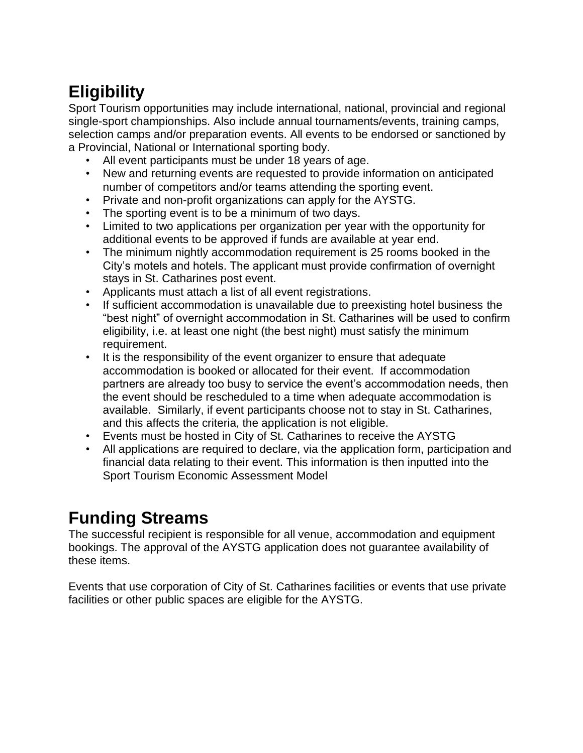# **Eligibility**

Sport Tourism opportunities may include international, national, provincial and regional single-sport championships. Also include annual tournaments/events, training camps, selection camps and/or preparation events. All events to be endorsed or sanctioned by a Provincial, National or International sporting body.

- All event participants must be under 18 years of age.
- New and returning events are requested to provide information on anticipated number of competitors and/or teams attending the sporting event.
- Private and non-profit organizations can apply for the AYSTG.
- The sporting event is to be a minimum of two days.
- Limited to two applications per organization per year with the opportunity for additional events to be approved if funds are available at year end.
- The minimum nightly accommodation requirement is 25 rooms booked in the City's motels and hotels. The applicant must provide confirmation of overnight stays in St. Catharines post event.
- Applicants must attach a list of all event registrations.
- If sufficient accommodation is unavailable due to preexisting hotel business the "best night" of overnight accommodation in St. Catharines will be used to confirm eligibility, i.e. at least one night (the best night) must satisfy the minimum requirement.
- It is the responsibility of the event organizer to ensure that adequate accommodation is booked or allocated for their event. If accommodation partners are already too busy to service the event's accommodation needs, then the event should be rescheduled to a time when adequate accommodation is available. Similarly, if event participants choose not to stay in St. Catharines, and this affects the criteria, the application is not eligible.
- Events must be hosted in City of St. Catharines to receive the AYSTG
- All applications are required to declare, via the application form, participation and financial data relating to their event. This information is then inputted into the Sport Tourism Economic Assessment Model

## **Funding Streams**

The successful recipient is responsible for all venue, accommodation and equipment bookings. The approval of the AYSTG application does not guarantee availability of these items.

Events that use corporation of City of St. Catharines facilities or events that use private facilities or other public spaces are eligible for the AYSTG.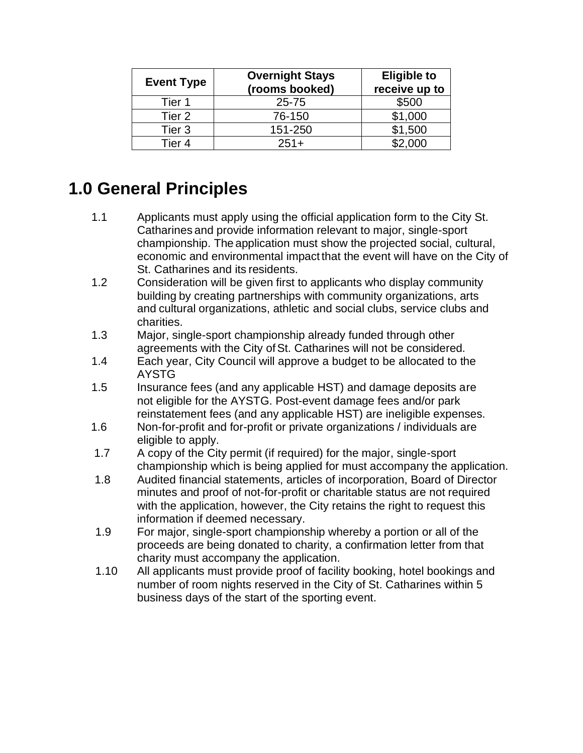| <b>Event Type</b> | <b>Overnight Stays</b><br>(rooms booked) | <b>Eligible to</b><br>receive up to |
|-------------------|------------------------------------------|-------------------------------------|
| Tier 1            | 25-75                                    | \$500                               |
| Tier 2            | 76-150                                   | \$1,000                             |
| Tier 3            | 151-250                                  | \$1,500                             |
| Tier 4            | $251+$                                   | \$2,000                             |

## **1.0 General Principles**

- 1.1 Applicants must apply using the official application form to the City St. Catharines and provide information relevant to major, single-sport championship. The application must show the projected social, cultural, economic and environmental impact that the event will have on the City of St. Catharines and its residents.
- 1.2 Consideration will be given first to applicants who display community building by creating partnerships with community organizations, arts and cultural organizations, athletic and social clubs, service clubs and charities.
- 1.3 Major, single-sport championship already funded through other agreements with the City of St. Catharines will not be considered.
- 1.4 Each year, City Council will approve a budget to be allocated to the AYSTG
- 1.5 Insurance fees (and any applicable HST) and damage deposits are not eligible for the AYSTG. Post-event damage fees and/or park reinstatement fees (and any applicable HST) are ineligible expenses.
- 1.6 Non-for-profit and for-profit or private organizations / individuals are eligible to apply.
- 1.7 A copy of the City permit (if required) for the major, single-sport championship which is being applied for must accompany the application.
- 1.8 Audited financial statements, articles of incorporation, Board of Director minutes and proof of not-for-profit or charitable status are not required with the application, however, the City retains the right to request this information if deemed necessary.
- 1.9 For major, single-sport championship whereby a portion or all of the proceeds are being donated to charity, a confirmation letter from that charity must accompany the application.
- 1.10 All applicants must provide proof of facility booking, hotel bookings and number of room nights reserved in the City of St. Catharines within 5 business days of the start of the sporting event.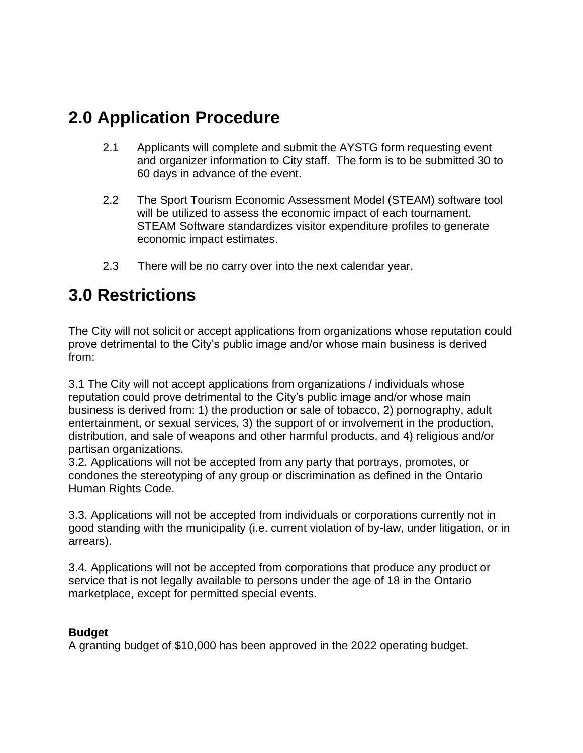## **2.0 Application Procedure**

- 2.1 Applicants will complete and submit the AYSTG form requesting event and organizer information to City staff. The form is to be submitted 30 to 60 days in advance of the event.
- 2.2 The Sport Tourism Economic Assessment Model (STEAM) software tool will be utilized to assess the economic impact of each tournament. STEAM Software standardizes visitor expenditure profiles to generate economic impact estimates.
- 2.3 There will be no carry over into the next calendar year.

### **3.0 Restrictions**

The City will not solicit or accept applications from organizations whose reputation could prove detrimental to the City's public image and/or whose main business is derived from:

3.1 The City will not accept applications from organizations / individuals whose reputation could prove detrimental to the City's public image and/or whose main business is derived from: 1) the production or sale of tobacco, 2) pornography, adult entertainment, or sexual services, 3) the support of or involvement in the production, distribution, and sale of weapons and other harmful products, and 4) religious and/or partisan organizations.

3.2. Applications will not be accepted from any party that portrays, promotes, or condones the stereotyping of any group or discrimination as defined in the Ontario Human Rights Code.

3.3. Applications will not be accepted from individuals or corporations currently not in good standing with the municipality (i.e. current violation of by-law, under litigation, or in arrears).

3.4. Applications will not be accepted from corporations that produce any product or service that is not legally available to persons under the age of 18 in the Ontario marketplace, except for permitted special events.

#### **Budget**

A granting budget of \$10,000 has been approved in the 2022 operating budget.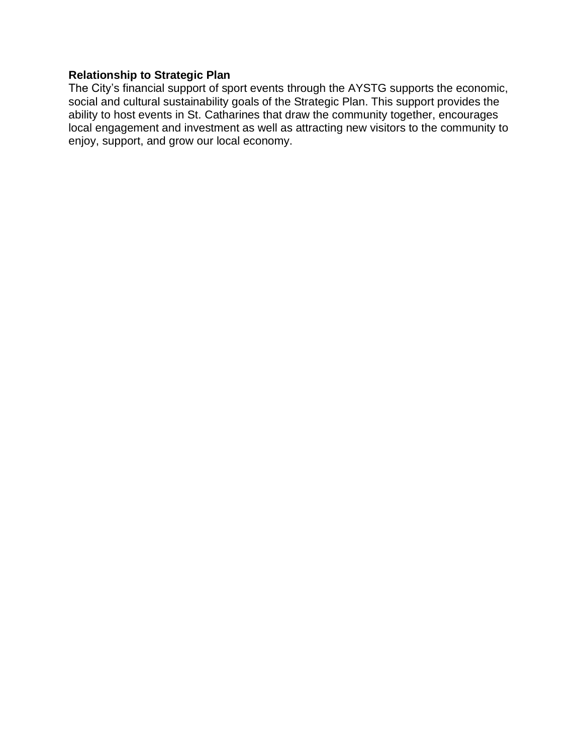#### **Relationship to Strategic Plan**

The City's financial support of sport events [through the AYSTG supports the economic,](file://///copacabana/city/Strategic%20Plan%20-%20Report%20Writing/StratPlan-ReportWriting.docx)  social and cultural sustainability goals of the Strategic Plan. This support provides the [ability to host events in St. Catharines that draw the community together, encourages](file://///copacabana/city/Strategic%20Plan%20-%20Report%20Writing/StratPlan-ReportWriting.docx)  [local engagement and investment as well as attracting new visitors to the community to](file://///copacabana/city/Strategic%20Plan%20-%20Report%20Writing/StratPlan-ReportWriting.docx)  [enjoy, support, and grow our local economy.](file://///copacabana/city/Strategic%20Plan%20-%20Report%20Writing/StratPlan-ReportWriting.docx)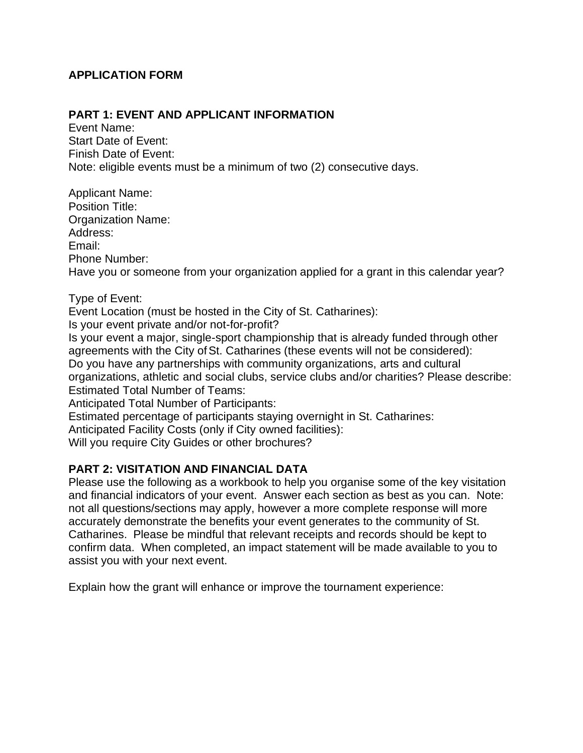#### **APPLICATION FORM**

#### **PART 1: EVENT AND APPLICANT INFORMATION**

Event Name: Start Date of Event: Finish Date of Event: Note: eligible events must be a minimum of two (2) consecutive days.

Applicant Name: Position Title: Organization Name: Address: Email: Phone Number: Have you or someone from your organization applied for a grant in this calendar year?

Type of Event:

Event Location (must be hosted in the City of St. Catharines):

Is your event private and/or not-for-profit?

Is your event a major, single-sport championship that is already funded through other agreements with the City of St. Catharines (these events will not be considered): Do you have any partnerships with community organizations, arts and cultural organizations, athletic and social clubs, service clubs and/or charities? Please describe:

Estimated Total Number of Teams:

Anticipated Total Number of Participants:

Estimated percentage of participants staying overnight in St. Catharines:

Anticipated Facility Costs (only if City owned facilities):

Will you require City Guides or other brochures?

#### **PART 2: VISITATION AND FINANCIAL DATA**

Please use the following as a workbook to help you organise some of the key visitation and financial indicators of your event. Answer each section as best as you can. Note: not all questions/sections may apply, however a more complete response will more accurately demonstrate the benefits your event generates to the community of St. Catharines. Please be mindful that relevant receipts and records should be kept to confirm data. When completed, an impact statement will be made available to you to assist you with your next event.

Explain how the grant will enhance or improve the tournament experience: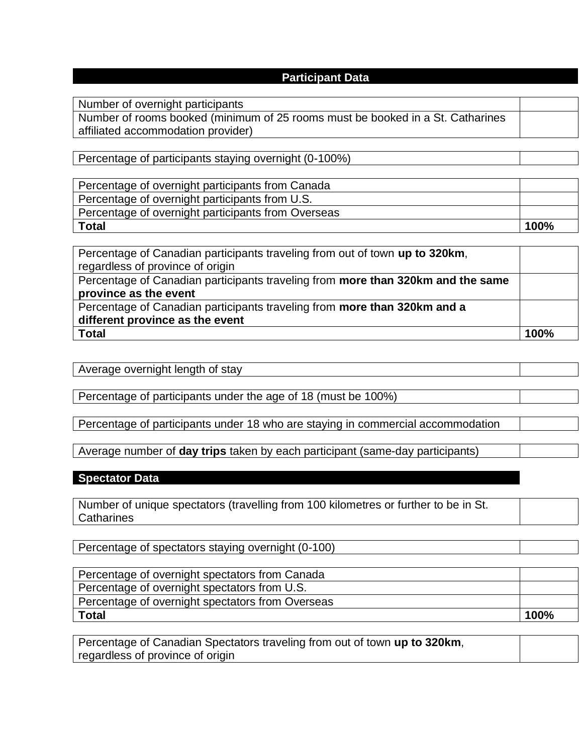#### **Participant Data**

Number of overnight participants

Number of rooms booked (minimum of 25 rooms must be booked in a St. Catharines affiliated accommodation provider)

Percentage of participants staying overnight (0-100%)

| Percentage of overnight participants from Canada   |      |
|----------------------------------------------------|------|
| Percentage of overnight participants from U.S.     |      |
| Percentage of overnight participants from Overseas |      |
| <b>Total</b>                                       | 100% |

| Percentage of Canadian participants traveling from out of town up to 320km,     |      |
|---------------------------------------------------------------------------------|------|
| regardless of province of origin                                                |      |
| Percentage of Canadian participants traveling from more than 320km and the same |      |
| province as the event                                                           |      |
| Percentage of Canadian participants traveling from more than 320km and a        |      |
| different province as the event                                                 |      |
| <b>Total</b>                                                                    | 100% |

| ----<br>$\rightarrow$ $\cdots$<br>ு<br>,,,,<br>$\mathbf{A}$ |  |
|-------------------------------------------------------------|--|
|                                                             |  |

Percentage of participants under the age of 18 (must be 100%)

Percentage of participants under 18 who are staying in commercial accommodation

Average number of **day trips** taken by each participant (same-day participants)

#### **Spectator Data**

Number of unique spectators (travelling from 100 kilometres or further to be in St. **Catharines** 

Percentage of spectators staying overnight (0-100)

| Percentage of overnight spectators from Canada   |      |
|--------------------------------------------------|------|
| Percentage of overnight spectators from U.S.     |      |
| Percentage of overnight spectators from Overseas |      |
| <b>Total</b>                                     | 100% |

Percentage of Canadian Spectators traveling from out of town **up to 320km**, regardless of province of origin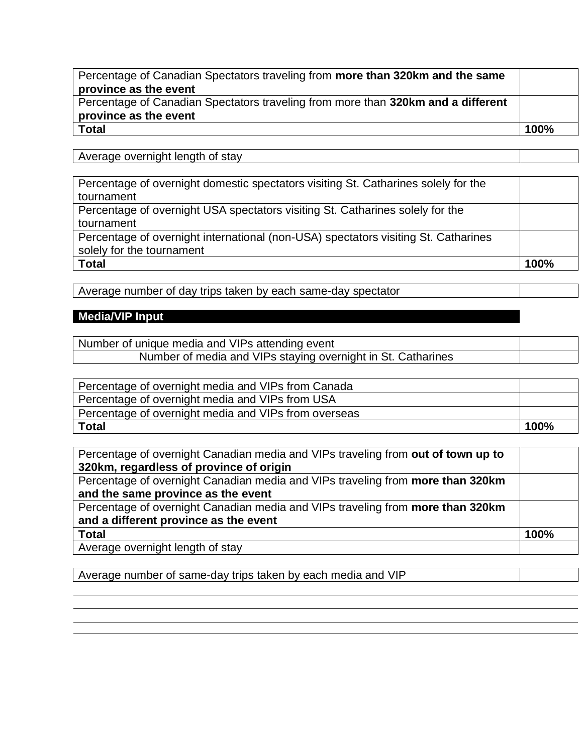| Percentage of Canadian Spectators traveling from more than 320km and the same    |      |
|----------------------------------------------------------------------------------|------|
| province as the event                                                            |      |
| Percentage of Canadian Spectators traveling from more than 320km and a different |      |
| province as the event                                                            |      |
| <b>Total</b>                                                                     | 100% |
|                                                                                  |      |

Average overnight length of stay

| Percentage of overnight domestic spectators visiting St. Catharines solely for the |      |
|------------------------------------------------------------------------------------|------|
| tournament                                                                         |      |
| Percentage of overnight USA spectators visiting St. Catharines solely for the      |      |
| tournament                                                                         |      |
| Percentage of overnight international (non-USA) spectators visiting St. Catharines |      |
| solely for the tournament                                                          |      |
| <b>Total</b>                                                                       | 100% |
|                                                                                    |      |

Average number of day trips taken by each same-day spectator

### **Media/VIP Input**

| Number of unique media and VIPs attending event              |  |
|--------------------------------------------------------------|--|
| Number of media and VIPs staying overnight in St. Catharines |  |

| Percentage of overnight media and VIPs from Canada   |      |
|------------------------------------------------------|------|
| Percentage of overnight media and VIPs from USA      |      |
| Percentage of overnight media and VIPs from overseas |      |
| Total                                                | 100% |

| Percentage of overnight Canadian media and VIPs traveling from out of town up to |      |
|----------------------------------------------------------------------------------|------|
| 320km, regardless of province of origin                                          |      |
| Percentage of overnight Canadian media and VIPs traveling from more than 320km   |      |
| and the same province as the event                                               |      |
| Percentage of overnight Canadian media and VIPs traveling from more than 320km   |      |
| and a different province as the event                                            |      |
| <b>Total</b>                                                                     | 100% |
| Average overnight length of stay                                                 |      |

Average number of same-day trips taken by each media and VIP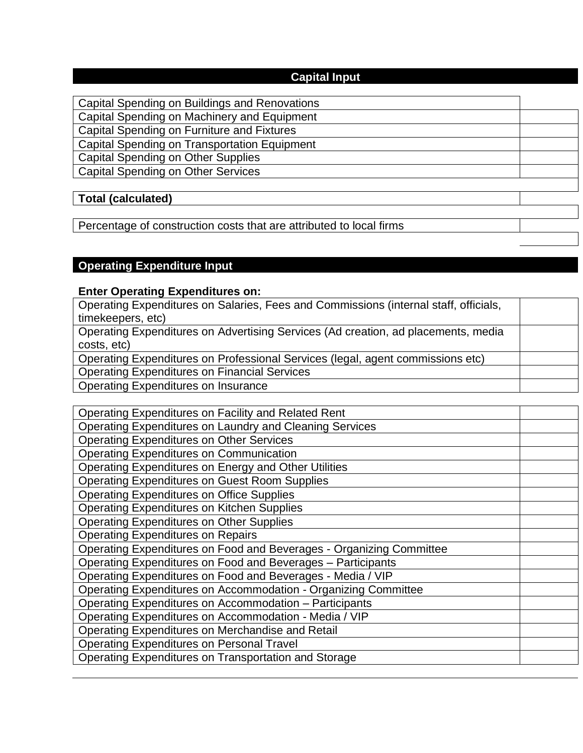### **Capital Input**

| Capital Spending on Buildings and Renovations                       |  |
|---------------------------------------------------------------------|--|
| Capital Spending on Machinery and Equipment                         |  |
| Capital Spending on Furniture and Fixtures                          |  |
| Capital Spending on Transportation Equipment                        |  |
| <b>Capital Spending on Other Supplies</b>                           |  |
| <b>Capital Spending on Other Services</b>                           |  |
|                                                                     |  |
| <b>Total (calculated)</b>                                           |  |
|                                                                     |  |
| Percentage of construction costs that are attributed to local firms |  |

### **Operating Expenditure Input**

#### **Enter Operating Expenditures on:**

| Operating Expenditures on Salaries, Fees and Commissions (internal staff, officials, |  |
|--------------------------------------------------------------------------------------|--|
| timekeepers, etc)                                                                    |  |
| Operating Expenditures on Advertising Services (Ad creation, ad placements, media    |  |
| costs, etc)                                                                          |  |
| Operating Expenditures on Professional Services (legal, agent commissions etc)       |  |
| <b>Operating Expenditures on Financial Services</b>                                  |  |
| <b>Operating Expenditures on Insurance</b>                                           |  |

| Operating Expenditures on Facility and Related Rent                 |  |
|---------------------------------------------------------------------|--|
| Operating Expenditures on Laundry and Cleaning Services             |  |
| <b>Operating Expenditures on Other Services</b>                     |  |
| Operating Expenditures on Communication                             |  |
| Operating Expenditures on Energy and Other Utilities                |  |
| Operating Expenditures on Guest Room Supplies                       |  |
| <b>Operating Expenditures on Office Supplies</b>                    |  |
| <b>Operating Expenditures on Kitchen Supplies</b>                   |  |
| <b>Operating Expenditures on Other Supplies</b>                     |  |
| <b>Operating Expenditures on Repairs</b>                            |  |
| Operating Expenditures on Food and Beverages - Organizing Committee |  |
| Operating Expenditures on Food and Beverages - Participants         |  |
| Operating Expenditures on Food and Beverages - Media / VIP          |  |
| Operating Expenditures on Accommodation - Organizing Committee      |  |
| Operating Expenditures on Accommodation - Participants              |  |
| Operating Expenditures on Accommodation - Media / VIP               |  |
| Operating Expenditures on Merchandise and Retail                    |  |
| <b>Operating Expenditures on Personal Travel</b>                    |  |
| Operating Expenditures on Transportation and Storage                |  |